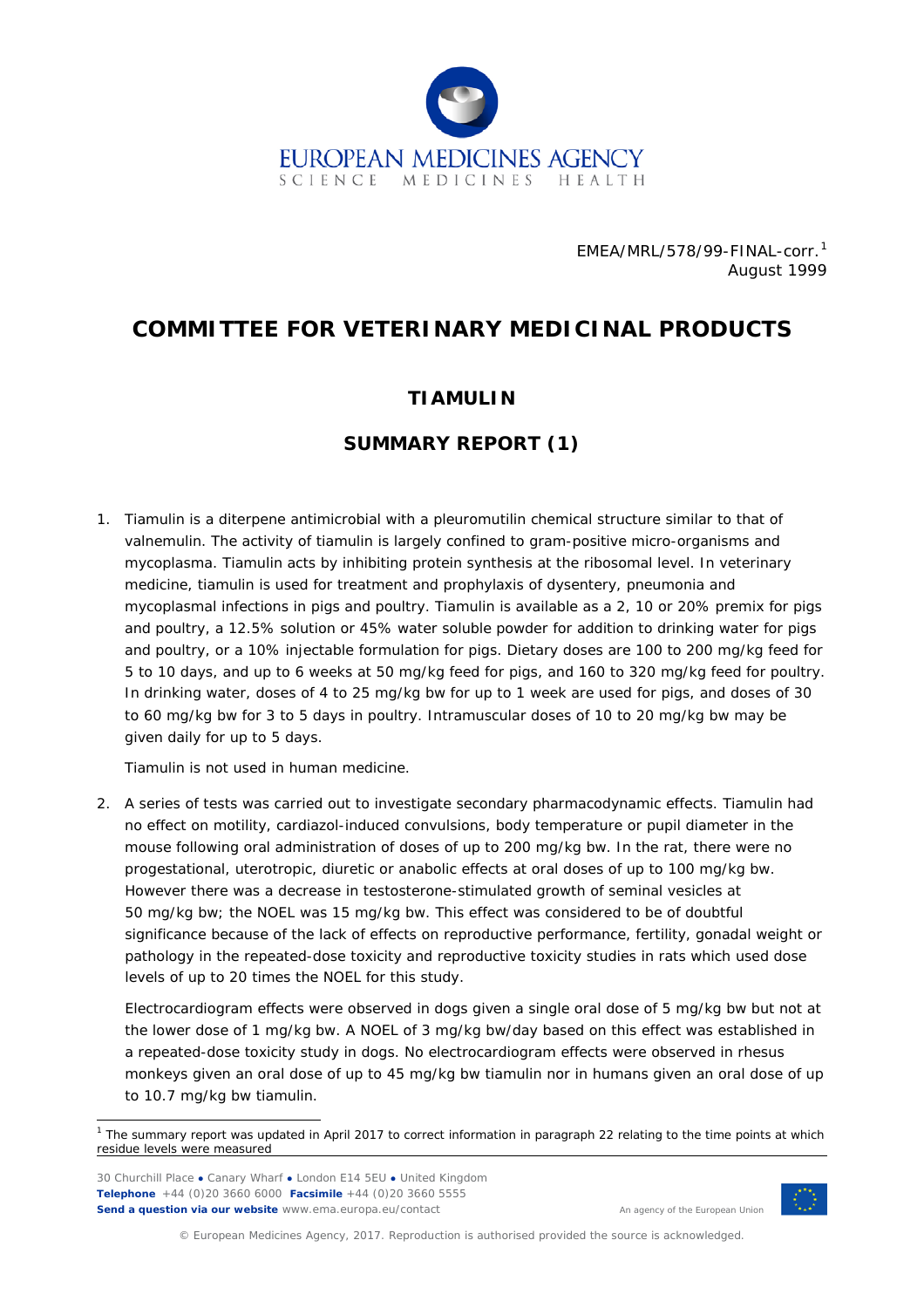

EMEA/MRL/578/99-FINAL-*corr.[1](#page-0-0)* August 1999

# **COMMITTEE FOR VETERINARY MEDICINAL PRODUCTS**

#### **TIAMULIN**

### **SUMMARY REPORT (1)**

1. Tiamulin is a diterpene antimicrobial with a pleuromutilin chemical structure similar to that of valnemulin. The activity of tiamulin is largely confined to gram-positive micro-organisms and *mycoplasma*. Tiamulin acts by inhibiting protein synthesis at the ribosomal level. In veterinary medicine, tiamulin is used for treatment and prophylaxis of dysentery, pneumonia and mycoplasmal infections in pigs and poultry. Tiamulin is available as a 2, 10 or 20% premix for pigs and poultry, a 12.5% solution or 45% water soluble powder for addition to drinking water for pigs and poultry, or a 10% injectable formulation for pigs. Dietary doses are 100 to 200 mg/kg feed for 5 to 10 days, and up to 6 weeks at 50 mg/kg feed for pigs, and 160 to 320 mg/kg feed for poultry. In drinking water, doses of 4 to 25 mg/kg bw for up to 1 week are used for pigs, and doses of 30 to 60 mg/kg bw for 3 to 5 days in poultry. Intramuscular doses of 10 to 20 mg/kg bw may be given daily for up to 5 days.

Tiamulin is not used in human medicine.

2. A series of tests was carried out to investigate secondary pharmacodynamic effects. Tiamulin had no effect on motility, cardiazol-induced convulsions, body temperature or pupil diameter in the mouse following oral administration of doses of up to 200 mg/kg bw. In the rat, there were no progestational, uterotropic, diuretic or anabolic effects at oral doses of up to 100 mg/kg bw. However there was a decrease in testosterone-stimulated growth of seminal vesicles at 50 mg/kg bw; the NOEL was 15 mg/kg bw. This effect was considered to be of doubtful significance because of the lack of effects on reproductive performance, fertility, gonadal weight or pathology in the repeated-dose toxicity and reproductive toxicity studies in rats which used dose levels of up to 20 times the NOEL for this study.

Electrocardiogram effects were observed in dogs given a single oral dose of 5 mg/kg bw but not at the lower dose of 1 mg/kg bw. A NOEL of 3 mg/kg bw/day based on this effect was established in a repeated-dose toxicity study in dogs. No electrocardiogram effects were observed in rhesus monkeys given an oral dose of up to 45 mg/kg bw tiamulin nor in humans given an oral dose of up to 10.7 mg/kg bw tiamulin.

30 Churchill Place **●** Canary Wharf **●** London E14 5EU **●** United Kingdom **Telephone** +44 (0)20 3660 6000 **Facsimile** +44 (0)20 3660 5555 **Send a question via our website** www.ema.europa.eu/contact



© European Medicines Agency, 2017. Reproduction is authorised provided the source is acknowledged.

<span id="page-0-0"></span> <sup>1</sup> *The summary report was updated in April 2017 to correct information in paragraph 22 relating to the time points at which residue levels were measured*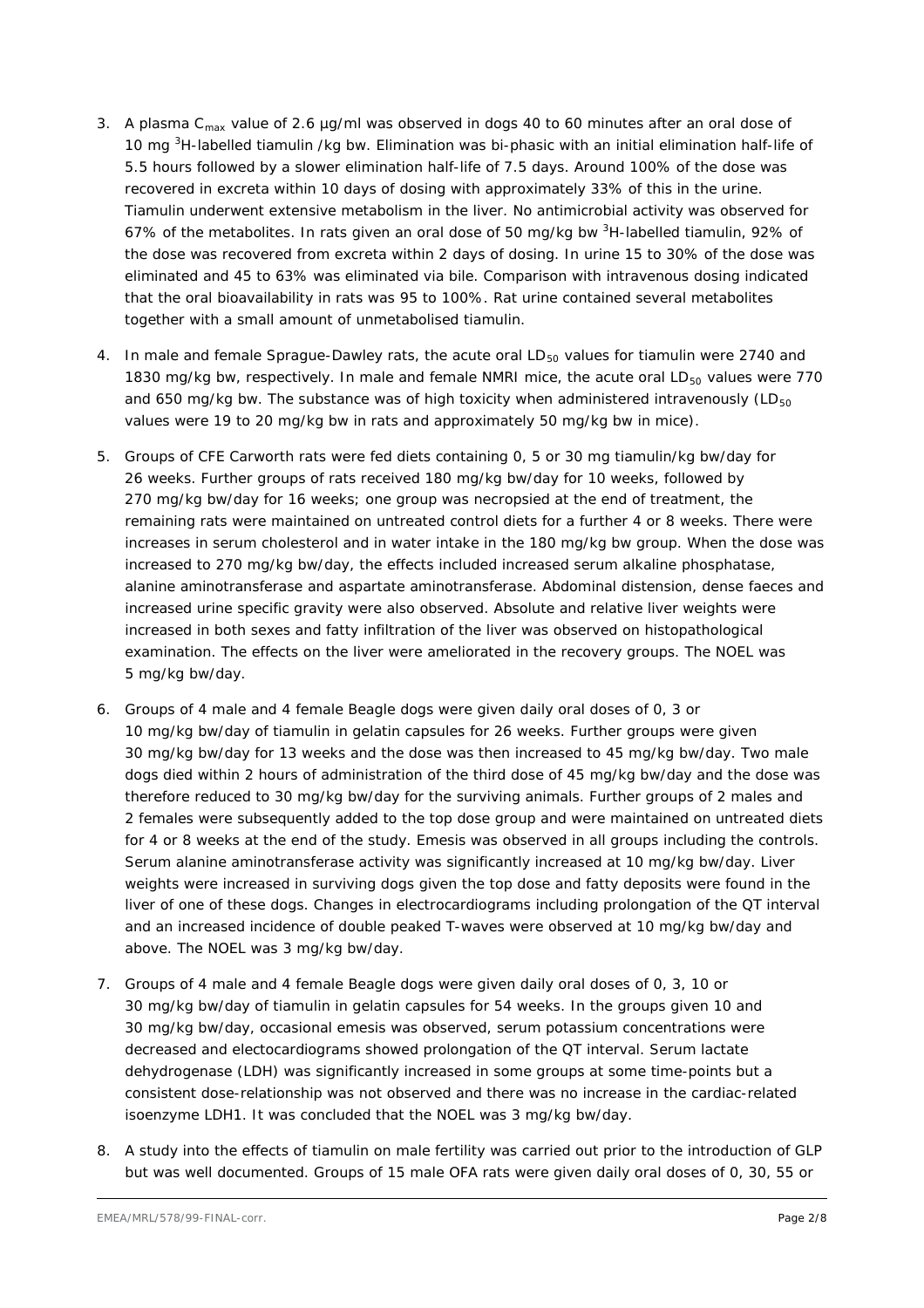- 3. A plasma C<sub>max</sub> value of 2.6 µg/ml was observed in dogs 40 to 60 minutes after an oral dose of 10 mg <sup>3</sup>H-labelled tiamulin /kg bw. Elimination was bi-phasic with an initial elimination half-life of 5.5 hours followed by a slower elimination half-life of 7.5 days. Around 100% of the dose was recovered in excreta within 10 days of dosing with approximately 33% of this in the urine. Tiamulin underwent extensive metabolism in the liver. No antimicrobial activity was observed for 67% of the metabolites. In rats given an oral dose of 50 mg/kg bw <sup>3</sup>H-labelled tiamulin, 92% of the dose was recovered from excreta within 2 days of dosing. In urine 15 to 30% of the dose was eliminated and 45 to 63% was eliminated via bile. Comparison with intravenous dosing indicated that the oral bioavailability in rats was 95 to 100%. Rat urine contained several metabolites together with a small amount of unmetabolised tiamulin.
- 4. In male and female Sprague-Dawley rats, the acute oral  $LD_{50}$  values for tiamulin were 2740 and 1830 mg/kg bw, respectively. In male and female NMRI mice, the acute oral  $LD_{50}$  values were 770 and 650 mg/kg bw. The substance was of high toxicity when administered intravenously ( $LD_{50}$ values were 19 to 20 mg/kg bw in rats and approximately 50 mg/kg bw in mice).
- 5. Groups of CFE Carworth rats were fed diets containing 0, 5 or 30 mg tiamulin/kg bw/day for 26 weeks. Further groups of rats received 180 mg/kg bw/day for 10 weeks, followed by 270 mg/kg bw/day for 16 weeks; one group was necropsied at the end of treatment, the remaining rats were maintained on untreated control diets for a further 4 or 8 weeks. There were increases in serum cholesterol and in water intake in the 180 mg/kg bw group. When the dose was increased to 270 mg/kg bw/day, the effects included increased serum alkaline phosphatase, alanine aminotransferase and aspartate aminotransferase. Abdominal distension, dense faeces and increased urine specific gravity were also observed. Absolute and relative liver weights were increased in both sexes and fatty infiltration of the liver was observed on histopathological examination. The effects on the liver were ameliorated in the recovery groups. The NOEL was 5 mg/kg bw/day.
- 6. Groups of 4 male and 4 female Beagle dogs were given daily oral doses of 0, 3 or 10 mg/kg bw/day of tiamulin in gelatin capsules for 26 weeks. Further groups were given 30 mg/kg bw/day for 13 weeks and the dose was then increased to 45 mg/kg bw/day. Two male dogs died within 2 hours of administration of the third dose of 45 mg/kg bw/day and the dose was therefore reduced to 30 mg/kg bw/day for the surviving animals. Further groups of 2 males and 2 females were subsequently added to the top dose group and were maintained on untreated diets for 4 or 8 weeks at the end of the study. Emesis was observed in all groups including the controls. Serum alanine aminotransferase activity was significantly increased at 10 mg/kg bw/day. Liver weights were increased in surviving dogs given the top dose and fatty deposits were found in the liver of one of these dogs. Changes in electrocardiograms including prolongation of the QT interval and an increased incidence of double peaked T-waves were observed at 10 mg/kg bw/day and above. The NOEL was 3 mg/kg bw/day.
- 7. Groups of 4 male and 4 female Beagle dogs were given daily oral doses of 0, 3, 10 or 30 mg/kg bw/day of tiamulin in gelatin capsules for 54 weeks. In the groups given 10 and 30 mg/kg bw/day, occasional emesis was observed, serum potassium concentrations were decreased and electocardiograms showed prolongation of the QT interval. Serum lactate dehydrogenase (LDH) was significantly increased in some groups at some time-points but a consistent dose-relationship was not observed and there was no increase in the cardiac-related isoenzyme LDH1. It was concluded that the NOEL was 3 mg/kg bw/day.
- 8. A study into the effects of tiamulin on male fertility was carried out prior to the introduction of GLP but was well documented. Groups of 15 male OFA rats were given daily oral doses of 0, 30, 55 or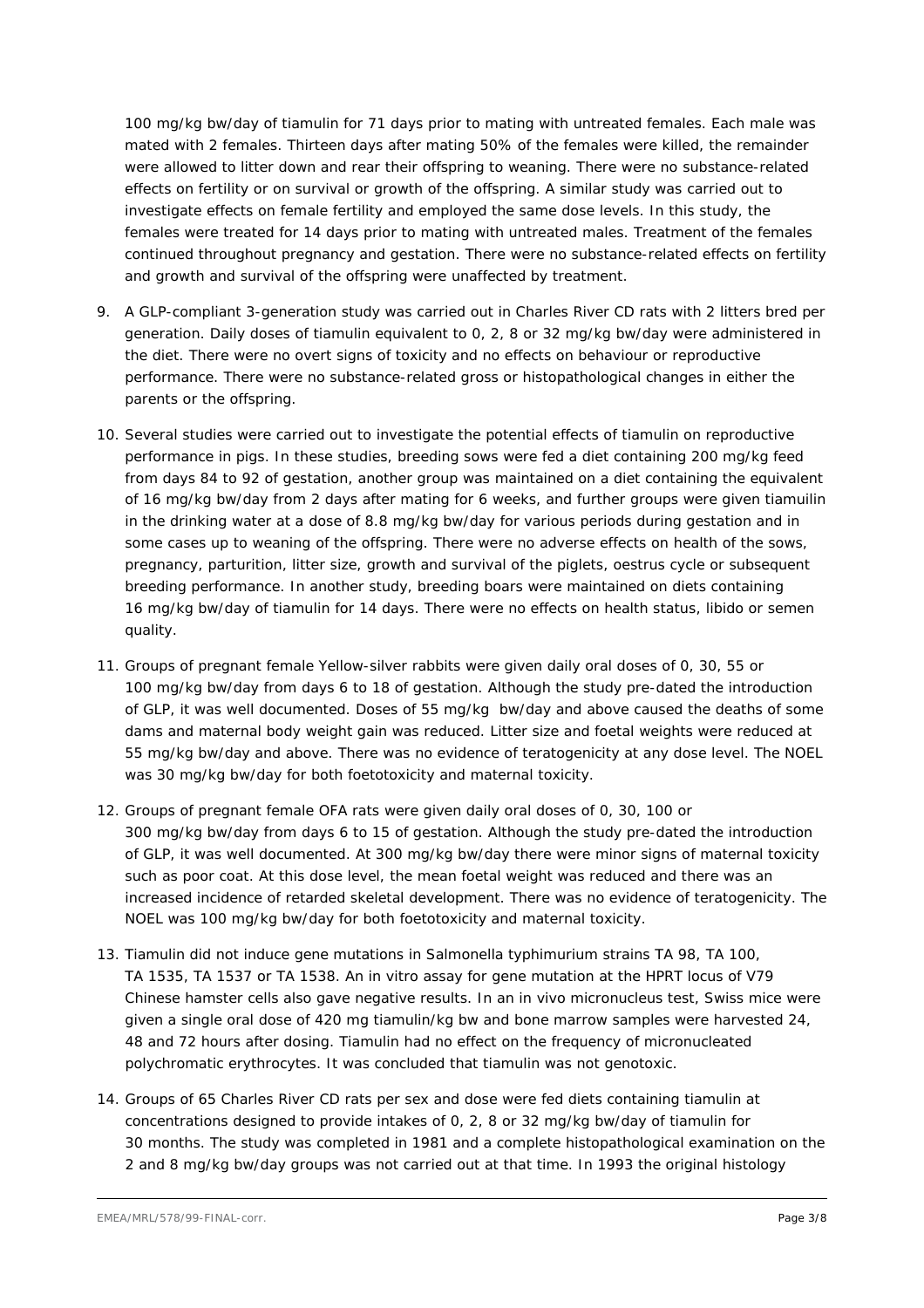100 mg/kg bw/day of tiamulin for 71 days prior to mating with untreated females. Each male was mated with 2 females. Thirteen days after mating 50% of the females were killed, the remainder were allowed to litter down and rear their offspring to weaning. There were no substance-related effects on fertility or on survival or growth of the offspring. A similar study was carried out to investigate effects on female fertility and employed the same dose levels. In this study, the females were treated for 14 days prior to mating with untreated males. Treatment of the females continued throughout pregnancy and gestation. There were no substance-related effects on fertility and growth and survival of the offspring were unaffected by treatment.

- 9. A GLP-compliant 3-generation study was carried out in Charles River CD rats with 2 litters bred per generation. Daily doses of tiamulin equivalent to 0, 2, 8 or 32 mg/kg bw/day were administered in the diet. There were no overt signs of toxicity and no effects on behaviour or reproductive performance. There were no substance-related gross or histopathological changes in either the parents or the offspring.
- 10. Several studies were carried out to investigate the potential effects of tiamulin on reproductive performance in pigs. In these studies, breeding sows were fed a diet containing 200 mg/kg feed from days 84 to 92 of gestation, another group was maintained on a diet containing the equivalent of 16 mg/kg bw/day from 2 days after mating for 6 weeks, and further groups were given tiamuilin in the drinking water at a dose of 8.8 mg/kg bw/day for various periods during gestation and in some cases up to weaning of the offspring. There were no adverse effects on health of the sows, pregnancy, parturition, litter size, growth and survival of the piglets, oestrus cycle or subsequent breeding performance. In another study, breeding boars were maintained on diets containing 16 mg/kg bw/day of tiamulin for 14 days. There were no effects on health status, libido or semen quality.
- 11. Groups of pregnant female Yellow-silver rabbits were given daily oral doses of 0, 30, 55 or 100 mg/kg bw/day from days 6 to 18 of gestation. Although the study pre-dated the introduction of GLP, it was well documented. Doses of 55 mg/kg bw/day and above caused the deaths of some dams and maternal body weight gain was reduced. Litter size and foetal weights were reduced at 55 mg/kg bw/day and above. There was no evidence of teratogenicity at any dose level. The NOEL was 30 mg/kg bw/day for both foetotoxicity and maternal toxicity.
- 12. Groups of pregnant female OFA rats were given daily oral doses of 0, 30, 100 or 300 mg/kg bw/day from days 6 to 15 of gestation. Although the study pre-dated the introduction of GLP, it was well documented. At 300 mg/kg bw/day there were minor signs of maternal toxicity such as poor coat. At this dose level, the mean foetal weight was reduced and there was an increased incidence of retarded skeletal development. There was no evidence of teratogenicity. The NOEL was 100 mg/kg bw/day for both foetotoxicity and maternal toxicity.
- 13. Tiamulin did not induce gene mutations in *Salmonella typhimurium* strains TA 98, TA 100, TA 1535, TA 1537 or TA 1538. An *in vitro* assay for gene mutation at the HPRT locus of V79 Chinese hamster cells also gave negative results. In an *in vivo* micronucleus test, Swiss mice were given a single oral dose of 420 mg tiamulin/kg bw and bone marrow samples were harvested 24, 48 and 72 hours after dosing. Tiamulin had no effect on the frequency of micronucleated polychromatic erythrocytes. It was concluded that tiamulin was not genotoxic.
- 14. Groups of 65 Charles River CD rats per sex and dose were fed diets containing tiamulin at concentrations designed to provide intakes of 0, 2, 8 or 32 mg/kg bw/day of tiamulin for 30 months. The study was completed in 1981 and a complete histopathological examination on the 2 and 8 mg/kg bw/day groups was not carried out at that time. In 1993 the original histology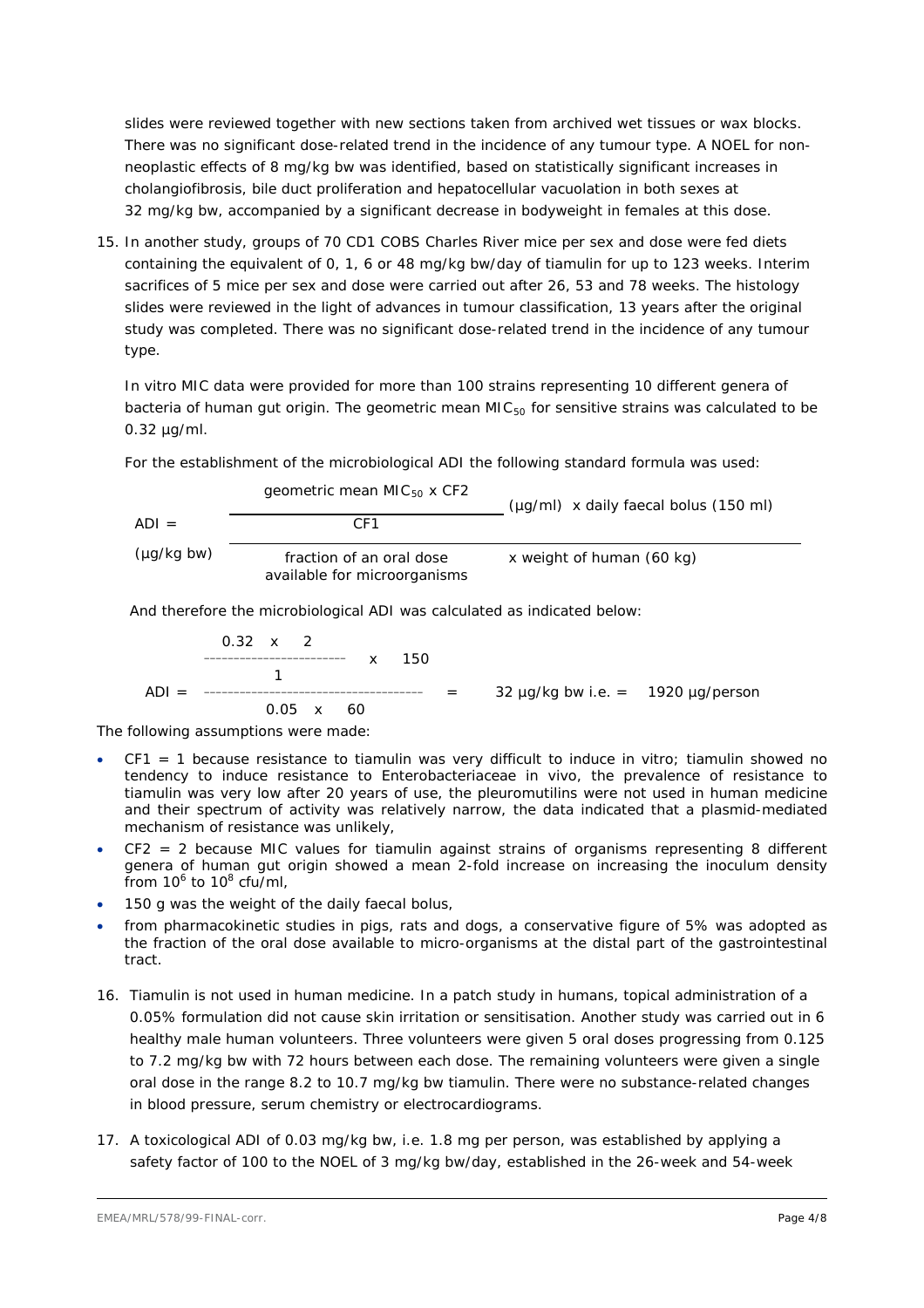slides were reviewed together with new sections taken from archived wet tissues or wax blocks. There was no significant dose-related trend in the incidence of any tumour type. A NOEL for nonneoplastic effects of 8 mg/kg bw was identified, based on statistically significant increases in cholangiofibrosis, bile duct proliferation and hepatocellular vacuolation in both sexes at 32 mg/kg bw, accompanied by a significant decrease in bodyweight in females at this dose.

15. In another study, groups of 70 CD1 COBS Charles River mice per sex and dose were fed diets containing the equivalent of 0, 1, 6 or 48 mg/kg bw/day of tiamulin for up to 123 weeks. Interim sacrifices of 5 mice per sex and dose were carried out after 26, 53 and 78 weeks. The histology slides were reviewed in the light of advances in tumour classification, 13 years after the original study was completed. There was no significant dose-related trend in the incidence of any tumour type.

*In vitro* MIC data were provided for more than 100 strains representing 10 different genera of bacteria of human gut origin. The geometric mean  $MIC<sub>50</sub>$  for sensitive strains was calculated to be 0.32 µg/ml.

For the establishment of the microbiological ADI the following standard formula was used:

geometric mean MIC50 x CF2 (µg/ml) x daily faecal bolus (150 ml) ADI = CF1 (µg/kg bw) fraction of an oral dose available for microorganisms x weight of human (60 kg)

And therefore the microbiological ADI was calculated as indicated below:

$$
ADI = \frac{0.32 \times 2}{1}
$$
 x 150  
ADI = 0.05 x 60  
ADI = 32 µg/kg bw i.e. = 1920 µg/person

The following assumptions were made:

- CF1 = 1 because resistance to tiamulin was very difficult to induce *in vitro*; tiamulin showed no tendency to induce resistance to *Enterobacteriaceae in vivo*, the prevalence of resistance to tiamulin was very low after 20 years of use, the pleuromutilins were not used in human medicine and their spectrum of activity was relatively narrow, the data indicated that a plasmid-mediated mechanism of resistance was unlikely,
- CF2 = 2 because MIC values for tiamulin against strains of organisms representing 8 different genera of human gut origin showed a mean 2-fold increase on increasing the inoculum density from  $10^6$  to  $10^8$  cfu/ml,
- 150 g was the weight of the daily faecal bolus,
- from pharmacokinetic studies in pigs, rats and dogs, a conservative figure of 5% was adopted as the fraction of the oral dose available to micro-organisms at the distal part of the gastrointestinal tract.
- 16. Tiamulin is not used in human medicine. In a patch study in humans, topical administration of a 0.05% formulation did not cause skin irritation or sensitisation. Another study was carried out in 6 healthy male human volunteers. Three volunteers were given 5 oral doses progressing from 0.125 to 7.2 mg/kg bw with 72 hours between each dose. The remaining volunteers were given a single oral dose in the range 8.2 to 10.7 mg/kg bw tiamulin. There were no substance-related changes in blood pressure, serum chemistry or electrocardiograms.
- 17. A toxicological ADI of 0.03 mg/kg bw, i.e. 1.8 mg per person, was established by applying a safety factor of 100 to the NOEL of 3 mg/kg bw/day, established in the 26-week and 54-week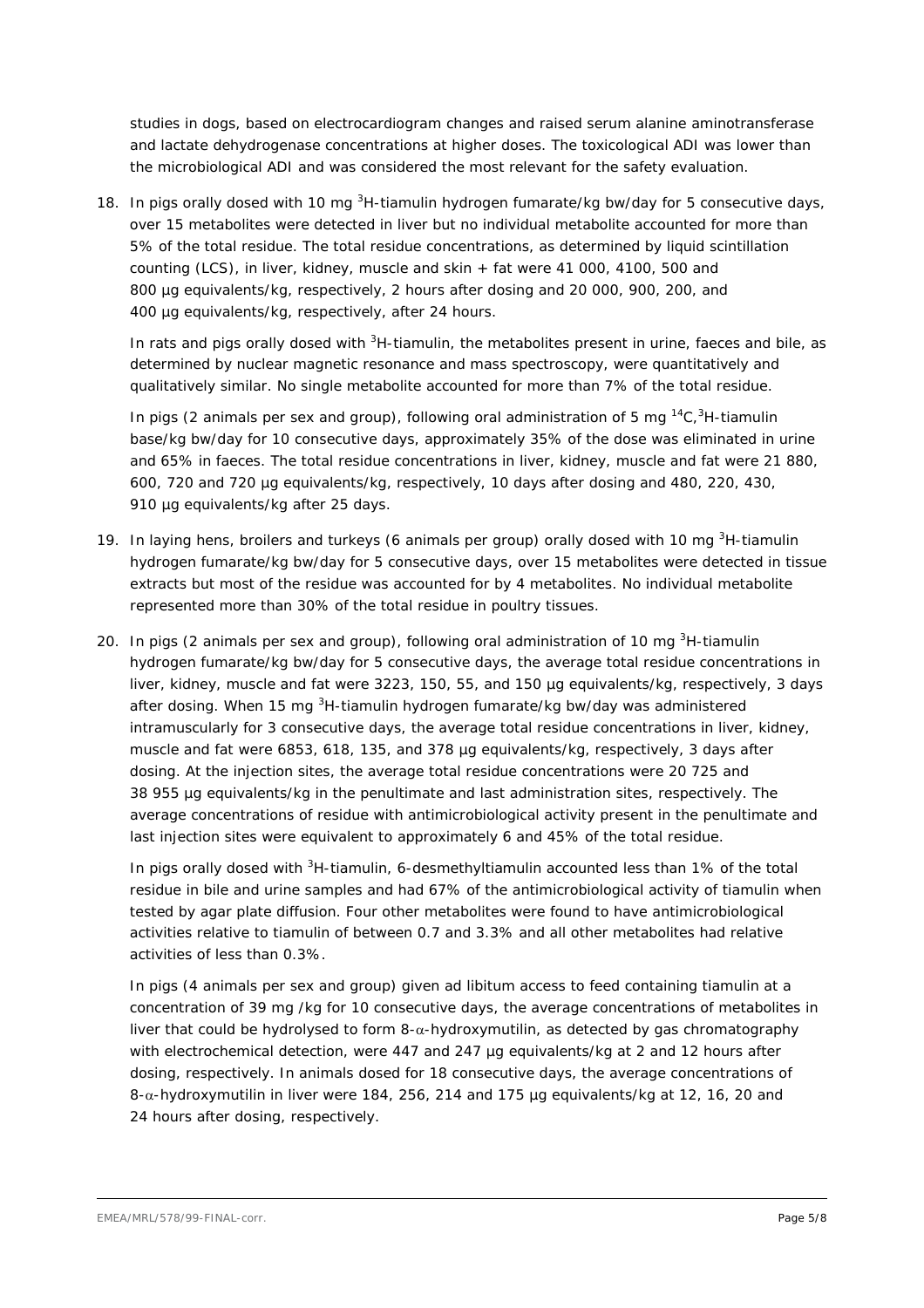studies in dogs, based on electrocardiogram changes and raised serum alanine aminotransferase and lactate dehydrogenase concentrations at higher doses. The toxicological ADI was lower than the microbiological ADI and was considered the most relevant for the safety evaluation.

18. In pigs orally dosed with 10 mg <sup>3</sup>H-tiamulin hydrogen fumarate/kg bw/day for 5 consecutive days, over 15 metabolites were detected in liver but no individual metabolite accounted for more than 5% of the total residue. The total residue concentrations, as determined by liquid scintillation counting (LCS), in liver, kidney, muscle and skin + fat were 41 000, 4100, 500 and 800 µg equivalents/kg, respectively, 2 hours after dosing and 20 000, 900, 200, and 400 µg equivalents/kg, respectively, after 24 hours.

In rats and pigs orally dosed with <sup>3</sup>H-tiamulin, the metabolites present in urine, faeces and bile, as determined by nuclear magnetic resonance and mass spectroscopy, were quantitatively and qualitatively similar. No single metabolite accounted for more than 7% of the total residue.

In pigs (2 animals per sex and group), following oral administration of 5 mg  ${}^{14}C, {}^{3}H$ -tiamulin base/kg bw/day for 10 consecutive days, approximately 35% of the dose was eliminated in urine and 65% in faeces. The total residue concentrations in liver, kidney, muscle and fat were 21 880, 600, 720 and 720 µg equivalents/kg, respectively, 10 days after dosing and 480, 220, 430, 910 µg equivalents/kg after 25 days.

- 19. In laying hens, broilers and turkeys (6 animals per group) orally dosed with 10 mg <sup>3</sup>H-tiamulin hydrogen fumarate/kg bw/day for 5 consecutive days, over 15 metabolites were detected in tissue extracts but most of the residue was accounted for by 4 metabolites. No individual metabolite represented more than 30% of the total residue in poultry tissues.
- 20. In pigs (2 animals per sex and group), following oral administration of 10 mg <sup>3</sup>H-tiamulin hydrogen fumarate/kg bw/day for 5 consecutive days, the average total residue concentrations in liver, kidney, muscle and fat were 3223, 150, 55, and 150 µg equivalents/kg, respectively, 3 days after dosing. When 15 mg <sup>3</sup>H-tiamulin hydrogen fumarate/kg bw/day was administered intramuscularly for 3 consecutive days, the average total residue concentrations in liver, kidney, muscle and fat were 6853, 618, 135, and 378 µg equivalents/kg, respectively, 3 days after dosing. At the injection sites, the average total residue concentrations were 20 725 and 38 955 µg equivalents/kg in the penultimate and last administration sites, respectively. The average concentrations of residue with antimicrobiological activity present in the penultimate and last injection sites were equivalent to approximately 6 and 45% of the total residue.

In pigs orally dosed with <sup>3</sup>H-tiamulin, 6-desmethyltiamulin accounted less than 1% of the total residue in bile and urine samples and had 67% of the antimicrobiological activity of tiamulin when tested by agar plate diffusion. Four other metabolites were found to have antimicrobiological activities relative to tiamulin of between 0.7 and 3.3% and all other metabolites had relative activities of less than 0.3%.

In pigs (4 animals per sex and group) given *ad libitum* access to feed containing tiamulin at a concentration of 39 mg /kg for 10 consecutive days, the average concentrations of metabolites in liver that could be hydrolysed to form 8-α-hydroxymutilin, as detected by gas chromatography with electrochemical detection, were 447 and 247 µg equivalents/kg at 2 and 12 hours after dosing, respectively. In animals dosed for 18 consecutive days, the average concentrations of 8-α-hydroxymutilin in liver were 184, 256, 214 and 175 µg equivalents/kg at 12, 16, 20 and 24 hours after dosing, respectively.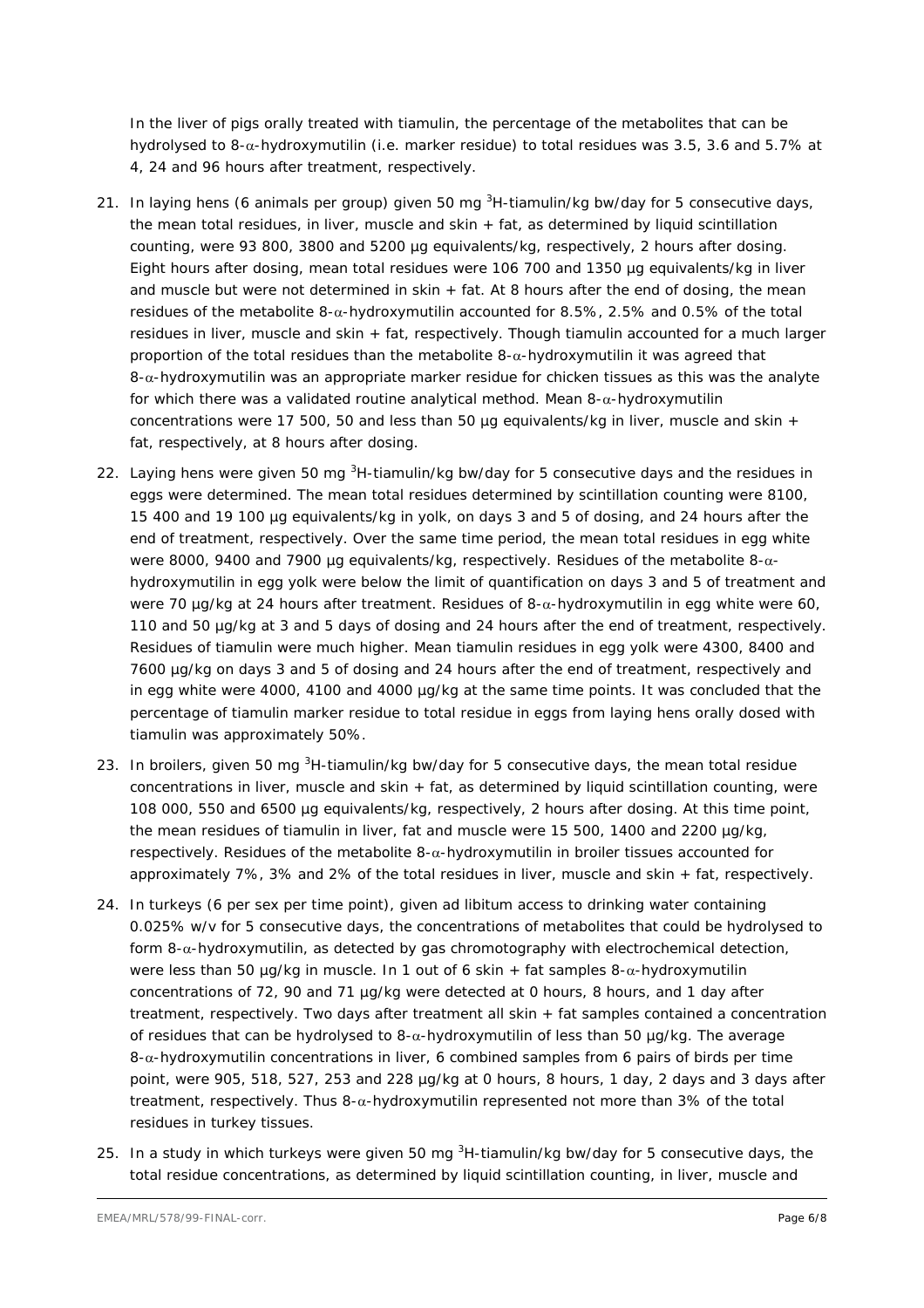In the liver of pigs orally treated with tiamulin, the percentage of the metabolites that can be hydrolysed to 8-α-hydroxymutilin (i.e. marker residue) to total residues was 3.5, 3.6 and 5.7% at 4, 24 and 96 hours after treatment, respectively.

- 21. In laying hens (6 animals per group) given 50 mg <sup>3</sup>H-tiamulin/kg bw/day for 5 consecutive days, the mean total residues, in liver, muscle and skin + fat, as determined by liquid scintillation counting, were 93 800, 3800 and 5200 µg equivalents/kg, respectively, 2 hours after dosing. Eight hours after dosing, mean total residues were 106 700 and 1350 µg equivalents/kg in liver and muscle but were not determined in skin + fat. At 8 hours after the end of dosing, the mean residues of the metabolite 8-α-hydroxymutilin accounted for 8.5%, 2.5% and 0.5% of the total residues in liver, muscle and skin + fat, respectively. Though tiamulin accounted for a much larger proportion of the total residues than the metabolite  $8-\alpha$ -hydroxymutilin it was agreed that 8-α-hydroxymutilin was an appropriate marker residue for chicken tissues as this was the analyte for which there was a validated routine analytical method. Mean 8-α-hydroxymutilin concentrations were 17 500, 50 and less than 50  $\mu$ g equivalents/kg in liver, muscle and skin + fat, respectively, at 8 hours after dosing.
- 22. Laying hens were given 50 mg <sup>3</sup>H-tiamulin/kg bw/day for 5 consecutive days and the residues in eggs were determined. The mean total residues determined by scintillation counting were 8100, 15 400 and 19 100 µg equivalents/kg in yolk, on days 3 and 5 of dosing, and 24 hours after the end of treatment, respectively. Over the same time period, the mean total residues in egg white were 8000, 9400 and 7900 µg equivalents/kg, respectively. Residues of the metabolite 8-αhydroxymutilin in egg yolk were below the limit of quantification on days 3 and 5 of treatment and were 70 µg/kg at 24 hours after treatment. Residues of 8-α-hydroxymutilin in egg white were 60, 110 and 50 µg/kg at 3 and 5 days of dosing and 24 hours after the end of treatment, respectively. Residues of tiamulin were much higher. Mean tiamulin residues in egg yolk were 4300, 8400 and 7600 µg/kg on days 3 and 5 of dosing and 24 hours after the end of treatment, respectively and in egg white were 4000, 4100 and 4000 µg/kg at the same time points. It was concluded that the percentage of tiamulin marker residue to total residue in eggs from laying hens orally dosed with tiamulin was approximately 50%.
- 23. In broilers, given 50 mg <sup>3</sup>H-tiamulin/kg bw/day for 5 consecutive days, the mean total residue concentrations in liver, muscle and skin + fat, as determined by liquid scintillation counting, were 108 000, 550 and 6500 µg equivalents/kg, respectively, 2 hours after dosing. At this time point, the mean residues of tiamulin in liver, fat and muscle were 15 500, 1400 and 2200 µg/kg, respectively. Residues of the metabolite 8-α-hydroxymutilin in broiler tissues accounted for approximately 7%, 3% and 2% of the total residues in liver, muscle and skin + fat, respectively.
- 24. In turkeys (6 per sex per time point), given *ad libitum* access to drinking water containing 0.025% w/v for 5 consecutive days, the concentrations of metabolites that could be hydrolysed to form  $8-\alpha$ -hydroxymutilin, as detected by gas chromotography with electrochemical detection, were less than 50 µg/kg in muscle. In 1 out of 6 skin + fat samples  $8-\alpha$ -hydroxymutilin concentrations of 72, 90 and 71 µg/kg were detected at 0 hours, 8 hours, and 1 day after treatment, respectively. Two days after treatment all skin + fat samples contained a concentration of residues that can be hydrolysed to 8-α-hydroxymutilin of less than 50 µg/kg. The average  $8-\alpha$ -hydroxymutilin concentrations in liver, 6 combined samples from 6 pairs of birds per time point, were 905, 518, 527, 253 and 228 µg/kg at 0 hours, 8 hours, 1 day, 2 days and 3 days after treatment, respectively. Thus 8-α-hydroxymutilin represented not more than 3% of the total residues in turkey tissues.
- 25. In a study in which turkeys were given 50 mg <sup>3</sup>H-tiamulin/kg bw/day for 5 consecutive days, the total residue concentrations, as determined by liquid scintillation counting, in liver, muscle and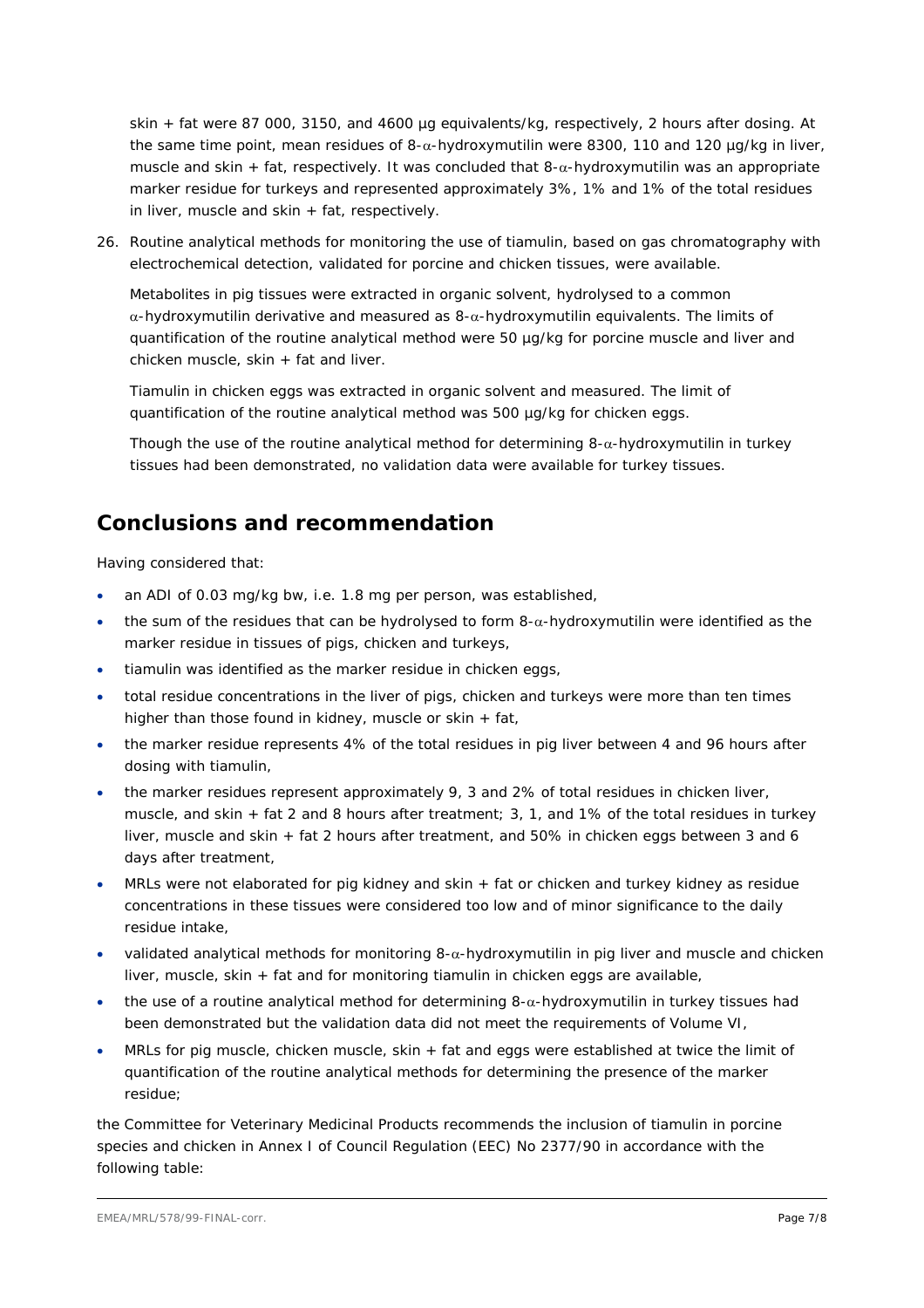skin + fat were 87 000, 3150, and 4600 µg equivalents/kg, respectively, 2 hours after dosing. At the same time point, mean residues of 8-α-hydroxymutilin were 8300, 110 and 120 µg/kg in liver, muscle and skin + fat, respectively. It was concluded that  $8-\alpha$ -hydroxymutilin was an appropriate marker residue for turkeys and represented approximately 3%, 1% and 1% of the total residues in liver, muscle and skin  $+$  fat, respectively.

26. Routine analytical methods for monitoring the use of tiamulin, based on gas chromatography with electrochemical detection, validated for porcine and chicken tissues, were available.

Metabolites in pig tissues were extracted in organic solvent, hydrolysed to a common α-hydroxymutilin derivative and measured as 8-α-hydroxymutilin equivalents. The limits of quantification of the routine analytical method were 50 µg/kg for porcine muscle and liver and chicken muscle, skin + fat and liver.

Tiamulin in chicken eggs was extracted in organic solvent and measured. The limit of quantification of the routine analytical method was 500 µg/kg for chicken eggs.

Though the use of the routine analytical method for determining  $8-\alpha$ -hydroxymutilin in turkey tissues had been demonstrated, no validation data were available for turkey tissues.

## **Conclusions and recommendation**

Having considered that:

- an ADI of 0.03 mg/kg bw, i.e. 1.8 mg per person, was established,
- the sum of the residues that can be hydrolysed to form  $8-\alpha$ -hydroxymutilin were identified as the marker residue in tissues of pigs, chicken and turkeys,
- tiamulin was identified as the marker residue in chicken eggs,
- total residue concentrations in the liver of pigs, chicken and turkeys were more than ten times higher than those found in kidney, muscle or skin + fat,
- the marker residue represents 4% of the total residues in pig liver between 4 and 96 hours after dosing with tiamulin,
- the marker residues represent approximately 9, 3 and 2% of total residues in chicken liver, muscle, and skin + fat 2 and 8 hours after treatment; 3, 1, and 1% of the total residues in turkey liver, muscle and skin + fat 2 hours after treatment, and 50% in chicken eggs between 3 and 6 days after treatment,
- MRLs were not elaborated for pig kidney and skin + fat or chicken and turkey kidney as residue concentrations in these tissues were considered too low and of minor significance to the daily residue intake,
- validated analytical methods for monitoring  $8-\alpha$ -hydroxymutilin in pig liver and muscle and chicken liver, muscle, skin + fat and for monitoring tiamulin in chicken eggs are available,
- the use of a routine analytical method for determining  $8-\alpha$ -hydroxymutilin in turkey tissues had been demonstrated but the validation data did not meet the requirements of Volume VI,
- MRLs for pig muscle, chicken muscle, skin + fat and eggs were established at twice the limit of quantification of the routine analytical methods for determining the presence of the marker residue;

the Committee for Veterinary Medicinal Products recommends the inclusion of tiamulin in porcine species and chicken in Annex I of Council Regulation (EEC) No 2377/90 in accordance with the following table: